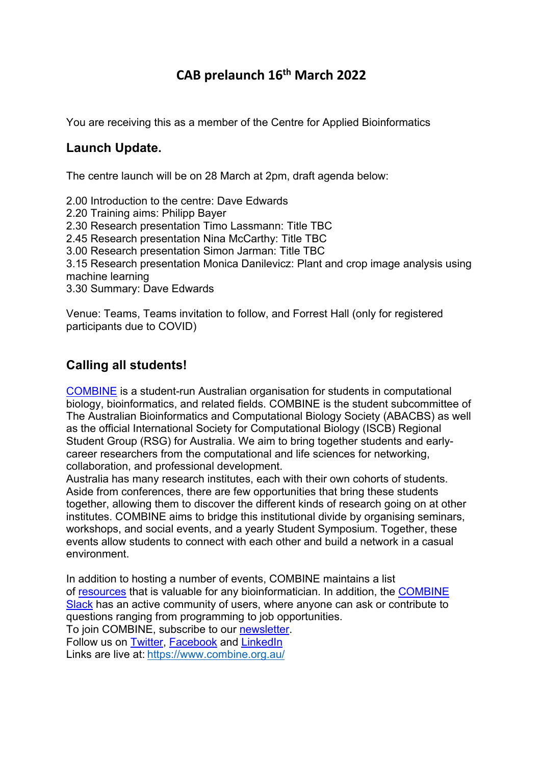# **CAB prelaunch 16th March 2022**

You are receiving this as a member of the Centre for Applied Bioinformatics

# **Launch Update.**

The centre launch will be on 28 March at 2pm, draft agenda below:

2.00 Introduction to the centre: Dave Edwards 2.20 Training aims: Philipp Bayer 2.30 Research presentation Timo Lassmann: Title TBC 2.45 Research presentation Nina McCarthy: Title TBC 3.00 Research presentation Simon Jarman: Title TBC 3.15 Research presentation Monica Danilevicz: Plant and crop image analysis using machine learning 3.30 Summary: Dave Edwards

Venue: Teams, Teams invitation to follow, and Forrest Hall (only for registered participants due to COVID)

# **Calling all students!**

COMBINE is a student-run Australian organisation for students in computational biology, bioinformatics, and related fields. COMBINE is the student subcommittee of The Australian Bioinformatics and Computational Biology Society (ABACBS) as well as the official International Society for Computational Biology (ISCB) Regional Student Group (RSG) for Australia. We aim to bring together students and earlycareer researchers from the computational and life sciences for networking, collaboration, and professional development.

Australia has many research institutes, each with their own cohorts of students. Aside from conferences, there are few opportunities that bring these students together, allowing them to discover the different kinds of research going on at other institutes. COMBINE aims to bridge this institutional divide by organising seminars, workshops, and social events, and a yearly Student Symposium. Together, these events allow students to connect with each other and build a network in a casual environment.

In addition to hosting a number of events, COMBINE maintains a list of resources that is valuable for any bioinformatician. In addition, the COMBINE Slack has an active community of users, where anyone can ask or contribute to questions ranging from programming to job opportunities. To join COMBINE, subscribe to our newsletter.

Follow us on Twitter, Facebook and LinkedIn

Links are live at: https://www.combine.org.au/